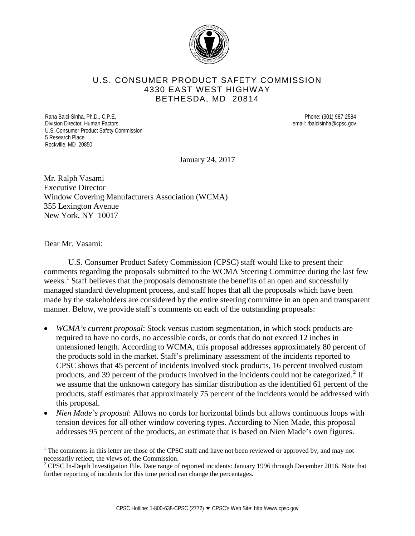

## U.S. CONSUMER PRODUCT SAFETY COMMISSION 4330 EAST WEST HIGHWAY BETHESDA, MD 20814

Rana Balci-Sinha, Ph.D., C.P.E. Phone: (301) 987-2584 Division Director, Human Factors email: rbalcisinha@cpsc.gov U.S. Consumer Product Safety Commission 5 Research Place Rockville, MD 20850

January 24, 2017

Mr. Ralph Vasami Executive Director Window Covering Manufacturers Association (WCMA) 355 Lexington Avenue New York, NY 10017

Dear Mr. Vasami:

U.S. Consumer Product Safety Commission (CPSC) staff would like to present their comments regarding the proposals submitted to the WCMA Steering Committee during the last few weeks.<sup>[1](#page-0-0)</sup> Staff believes that the proposals demonstrate the benefits of an open and successfully managed standard development process, and staff hopes that all the proposals which have been made by the stakeholders are considered by the entire steering committee in an open and transparent manner. Below, we provide staff's comments on each of the outstanding proposals:

- *WCMA's current proposal*: Stock versus custom segmentation, in which stock products are required to have no cords, no accessible cords, or cords that do not exceed 12 inches in untensioned length. According to WCMA, this proposal addresses approximately 80 percent of the products sold in the market. Staff's preliminary assessment of the incidents reported to CPSC shows that 45 percent of incidents involved stock products, 16 percent involved custom products, and 39 percent of the products involved in the incidents could not be categorized.<sup>[2](#page-0-1)</sup> If we assume that the unknown category has similar distribution as the identified 61 percent of the products, staff estimates that approximately 75 percent of the incidents would be addressed with this proposal.
- *Nien Made's proposal*: Allows no cords for horizontal blinds but allows continuous loops with tension devices for all other window covering types. According to Nien Made, this proposal addresses 95 percent of the products, an estimate that is based on Nien Made's own figures.

<span id="page-0-0"></span> $1$  The comments in this letter are those of the CPSC staff and have not been reviewed or approved by, and may not necessarily reflect, the views of, the Commission.<br><sup>2</sup> CPSC In-Depth Investigation File. Date range of reported incidents: January 1996 through December 2016. Note that

<span id="page-0-1"></span>further reporting of incidents for this time period can change the percentages.